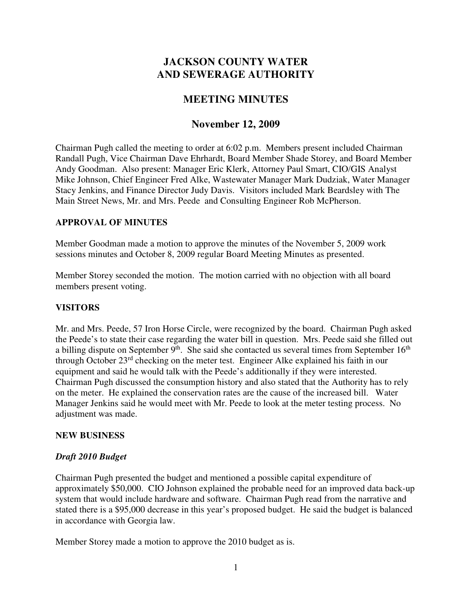# **JACKSON COUNTY WATER AND SEWERAGE AUTHORITY**

## **MEETING MINUTES**

## **November 12, 2009**

Chairman Pugh called the meeting to order at 6:02 p.m. Members present included Chairman Randall Pugh, Vice Chairman Dave Ehrhardt, Board Member Shade Storey, and Board Member Andy Goodman. Also present: Manager Eric Klerk, Attorney Paul Smart, CIO/GIS Analyst Mike Johnson, Chief Engineer Fred Alke, Wastewater Manager Mark Dudziak, Water Manager Stacy Jenkins, and Finance Director Judy Davis. Visitors included Mark Beardsley with The Main Street News, Mr. and Mrs. Peede and Consulting Engineer Rob McPherson.

### **APPROVAL OF MINUTES**

Member Goodman made a motion to approve the minutes of the November 5, 2009 work sessions minutes and October 8, 2009 regular Board Meeting Minutes as presented.

Member Storey seconded the motion. The motion carried with no objection with all board members present voting.

## **VISITORS**

Mr. and Mrs. Peede, 57 Iron Horse Circle, were recognized by the board. Chairman Pugh asked the Peede's to state their case regarding the water bill in question. Mrs. Peede said she filled out a billing dispute on September 9<sup>th</sup>. She said she contacted us several times from September 16<sup>th</sup> through October 23rd checking on the meter test. Engineer Alke explained his faith in our equipment and said he would talk with the Peede's additionally if they were interested. Chairman Pugh discussed the consumption history and also stated that the Authority has to rely on the meter. He explained the conservation rates are the cause of the increased bill. Water Manager Jenkins said he would meet with Mr. Peede to look at the meter testing process. No adjustment was made.

#### **NEW BUSINESS**

#### *Draft 2010 Budget*

Chairman Pugh presented the budget and mentioned a possible capital expenditure of approximately \$50,000. CIO Johnson explained the probable need for an improved data back-up system that would include hardware and software. Chairman Pugh read from the narrative and stated there is a \$95,000 decrease in this year's proposed budget. He said the budget is balanced in accordance with Georgia law.

Member Storey made a motion to approve the 2010 budget as is.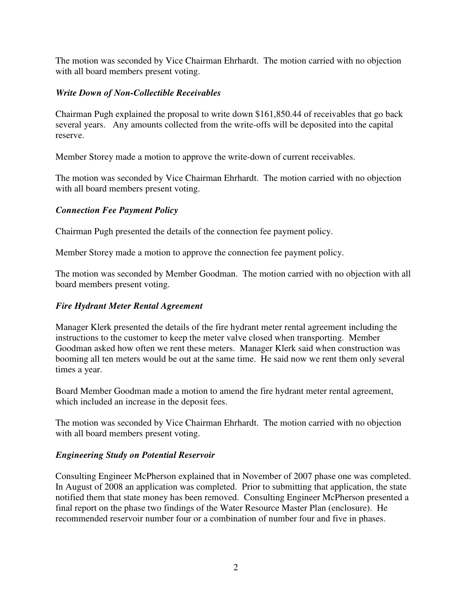The motion was seconded by Vice Chairman Ehrhardt. The motion carried with no objection with all board members present voting.

## *Write Down of Non-Collectible Receivables*

Chairman Pugh explained the proposal to write down \$161,850.44 of receivables that go back several years. Any amounts collected from the write-offs will be deposited into the capital reserve.

Member Storey made a motion to approve the write-down of current receivables.

The motion was seconded by Vice Chairman Ehrhardt. The motion carried with no objection with all board members present voting.

## *Connection Fee Payment Policy*

Chairman Pugh presented the details of the connection fee payment policy.

Member Storey made a motion to approve the connection fee payment policy.

The motion was seconded by Member Goodman. The motion carried with no objection with all board members present voting.

## *Fire Hydrant Meter Rental Agreement*

Manager Klerk presented the details of the fire hydrant meter rental agreement including the instructions to the customer to keep the meter valve closed when transporting. Member Goodman asked how often we rent these meters. Manager Klerk said when construction was booming all ten meters would be out at the same time. He said now we rent them only several times a year.

Board Member Goodman made a motion to amend the fire hydrant meter rental agreement, which included an increase in the deposit fees.

The motion was seconded by Vice Chairman Ehrhardt. The motion carried with no objection with all board members present voting.

#### *Engineering Study on Potential Reservoir*

Consulting Engineer McPherson explained that in November of 2007 phase one was completed. In August of 2008 an application was completed. Prior to submitting that application, the state notified them that state money has been removed. Consulting Engineer McPherson presented a final report on the phase two findings of the Water Resource Master Plan (enclosure). He recommended reservoir number four or a combination of number four and five in phases.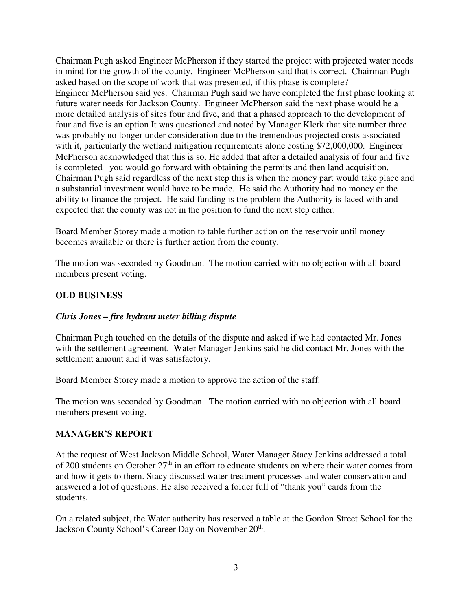Chairman Pugh asked Engineer McPherson if they started the project with projected water needs in mind for the growth of the county. Engineer McPherson said that is correct. Chairman Pugh asked based on the scope of work that was presented, if this phase is complete? Engineer McPherson said yes. Chairman Pugh said we have completed the first phase looking at future water needs for Jackson County. Engineer McPherson said the next phase would be a more detailed analysis of sites four and five, and that a phased approach to the development of four and five is an option It was questioned and noted by Manager Klerk that site number three was probably no longer under consideration due to the tremendous projected costs associated with it, particularly the wetland mitigation requirements alone costing \$72,000,000. Engineer McPherson acknowledged that this is so. He added that after a detailed analysis of four and five is completed you would go forward with obtaining the permits and then land acquisition. Chairman Pugh said regardless of the next step this is when the money part would take place and a substantial investment would have to be made. He said the Authority had no money or the ability to finance the project. He said funding is the problem the Authority is faced with and expected that the county was not in the position to fund the next step either.

Board Member Storey made a motion to table further action on the reservoir until money becomes available or there is further action from the county.

The motion was seconded by Goodman. The motion carried with no objection with all board members present voting.

### **OLD BUSINESS**

#### *Chris Jones – fire hydrant meter billing dispute*

Chairman Pugh touched on the details of the dispute and asked if we had contacted Mr. Jones with the settlement agreement. Water Manager Jenkins said he did contact Mr. Jones with the settlement amount and it was satisfactory.

Board Member Storey made a motion to approve the action of the staff.

The motion was seconded by Goodman. The motion carried with no objection with all board members present voting.

#### **MANAGER'S REPORT**

At the request of West Jackson Middle School, Water Manager Stacy Jenkins addressed a total of 200 students on October 27<sup>th</sup> in an effort to educate students on where their water comes from and how it gets to them. Stacy discussed water treatment processes and water conservation and answered a lot of questions. He also received a folder full of "thank you" cards from the students.

On a related subject, the Water authority has reserved a table at the Gordon Street School for the Jackson County School's Career Day on November 20<sup>th</sup>.